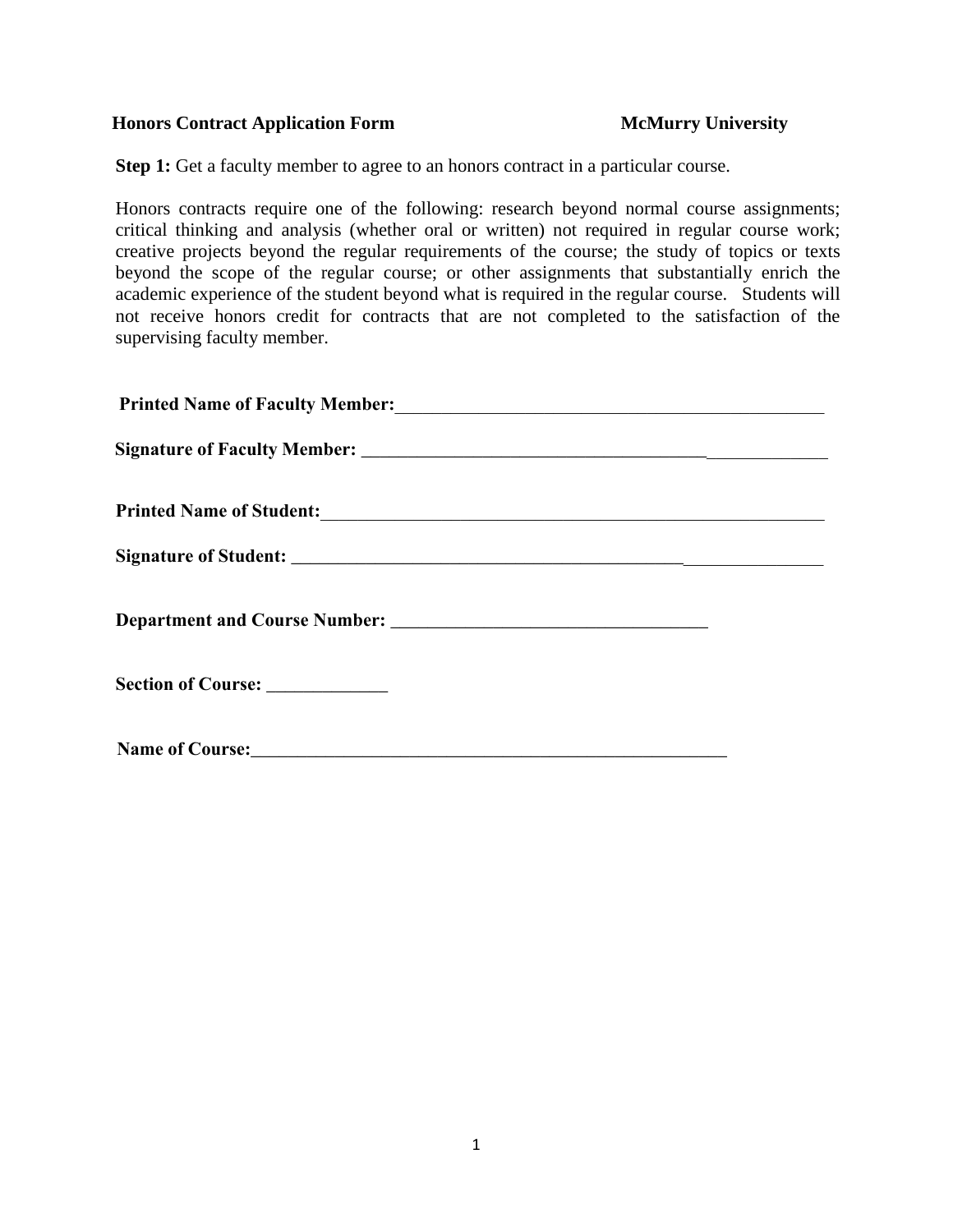### **Honors Contract Application Form McMurry University**

**Step 1:** Get a faculty member to agree to an honors contract in a particular course.

Honors contracts require one of the following: research beyond normal course assignments; critical thinking and analysis (whether oral or written) not required in regular course work; creative projects beyond the regular requirements of the course; the study of topics or texts beyond the scope of the regular course; or other assignments that substantially enrich the academic experience of the student beyond what is required in the regular course. Students will not receive honors credit for contracts that are not completed to the satisfaction of the supervising faculty member.

| Section of Course: ___________ |
|--------------------------------|
|                                |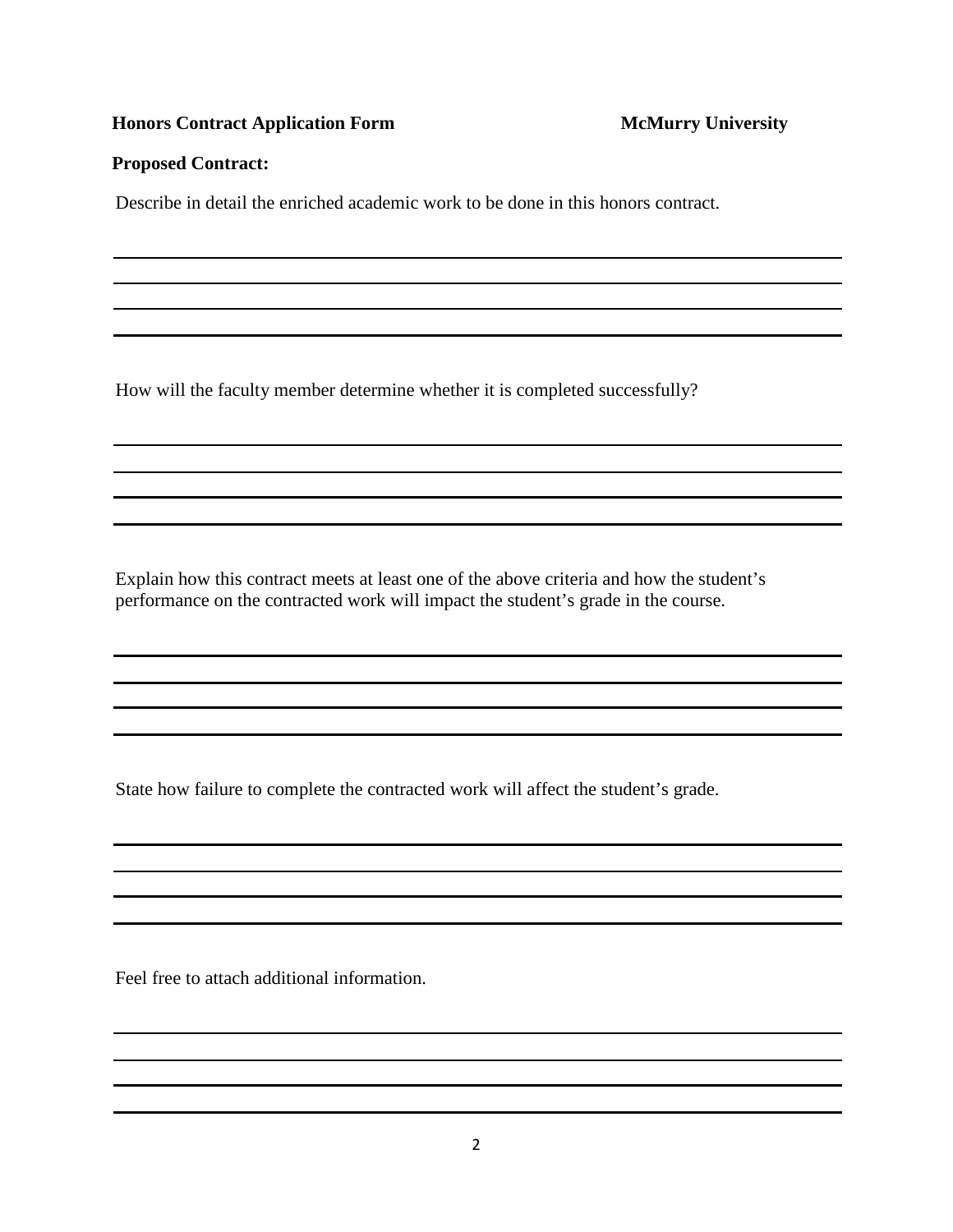# **Honors Contract Application Form McMurry University**

## **Proposed Contract:**

Describe in detail the enriched academic work to be done in this honors contract.

How will the faculty member determine whether it is completed successfully?

Explain how this contract meets at least one of the above criteria and how the student's performance on the contracted work will impact the student's grade in the course.

State how failure to complete the contracted work will affect the student's grade.

Feel free to attach additional information.